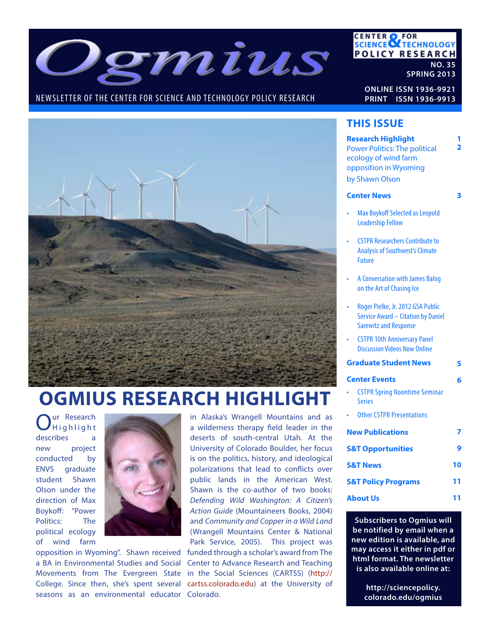

## NEWSLETTER OF THE CENTER FOR SCIENCE AND TECHNOLOGY POLICY RESEARCH

**CENTER OF FOR<br>SCIENCE OF TECHNOLOGY POLICY RESEARCH NO. 35**

**SPRING 2013**

**ONLINE ISSN 1936-9921 PRINT ISSN 1936-9913**



# **OGMIUS RESEARCH HIGHLIGHT**

Our Research<br>
Highlight describes a new project conducted by ENVS graduate student Shawn Olson under the direction of Max Boykoff: "Power Politics: The political ecology of wind farm



Movements from The Evergreen State in the Social Sciences (CARTSS) (http:// College. Since then, she's spent several cartss.colorado.edu) at the University of seasons as an environmental educator Colorado. opposition in Wyoming". Shawn received a BA in Environmental Studies and Social

in Alaska's Wrangell Mountains and as a wilderness therapy field leader in the deserts of south-central Utah. At the University of Colorado Boulder, her focus is on the politics, history, and ideological polarizations that lead to conflicts over public lands in the American West. Shawn is the co-author of two books: *Defending Wild Washington: A Citizen's Action Guide* (Mountaineers Books, 2004) and *Community and Copper in a Wild Land*  (Wrangell Mountains Center & National Park Service, 2005). This project was funded through a scholar's award from The Center to Advance Research and Teaching

## **THIS ISSUE**

|                                | <b>Research Highlight</b><br>1<br>$\overline{\mathbf{2}}$                                               |   |  |  |  |
|--------------------------------|---------------------------------------------------------------------------------------------------------|---|--|--|--|
|                                | <b>Power Politics: The political</b><br>ecology of wind farm                                            |   |  |  |  |
|                                | opposition in Wyoming                                                                                   |   |  |  |  |
|                                | by Shawn Olson                                                                                          |   |  |  |  |
| <b>Center News</b>             |                                                                                                         |   |  |  |  |
|                                | <b>Max Boykoff Selected as Leopold</b><br><b>Leadership Fellow</b>                                      |   |  |  |  |
|                                | <b>CSTPR Researchers Contribute to</b><br><b>Analysis of Southwest's Climate</b><br><b>Future</b>       |   |  |  |  |
|                                | A Conversation with James Balog<br>on the Art of Chasing Ice                                            |   |  |  |  |
|                                | Roger Pielke, Jr. 2012 GSA Public<br>Service Award - Citation by Daniel<br><b>Sarewitz and Response</b> |   |  |  |  |
|                                | <b>CSTPR 10th Anniversary Panel</b><br><b>Discussion Videos Now Online</b>                              |   |  |  |  |
|                                | <b>Graduate Student News</b>                                                                            | 5 |  |  |  |
|                                | <b>Center Events</b>                                                                                    | 6 |  |  |  |
|                                | <b>CSTPR Spring Noontime Seminar</b><br><b>Series</b>                                                   |   |  |  |  |
|                                | <b>Other CSTPR Presentations</b>                                                                        |   |  |  |  |
| <b>New Publications</b>        |                                                                                                         |   |  |  |  |
| <b>S&amp;T Opportunities</b>   |                                                                                                         | q |  |  |  |
| <b>S&amp;T News</b>            |                                                                                                         |   |  |  |  |
| <b>S&amp;T Policy Programs</b> |                                                                                                         |   |  |  |  |
| <b>About Us</b><br>11          |                                                                                                         |   |  |  |  |
|                                |                                                                                                         |   |  |  |  |

**Subscribers to Ogmius will be notified by email when a new edition is available, and may access it either in pdf or html format. The newsletter is also available online at:**

> **http://sciencepolicy. colorado.edu/ogmius**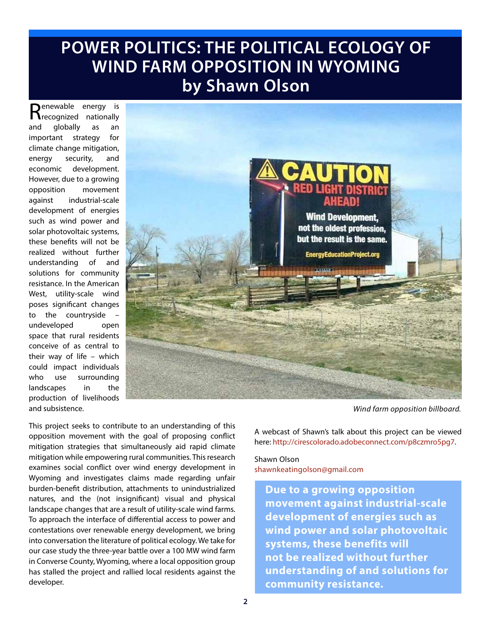# **POWER POLITICS: THE POLITICAL ECOLOGY OF WIND FARM OPPOSITION IN WYOMING by Shawn Olson**

Renewable energy is<br>Recognized nationally and globally as an important strategy for climate change mitigation, energy security, and economic development. However, due to a growing opposition movement against industrial-scale development of energies such as wind power and solar photovoltaic systems, these benefits will not be realized without further understanding of and solutions for community resistance. In the American West, utility-scale wind poses significant changes to the countryside undeveloped open space that rural residents conceive of as central to their way of life – which could impact individuals who use surrounding landscapes in the production of livelihoods and subsistence.



*Wind farm opposition billboard.*

This project seeks to contribute to an understanding of this opposition movement with the goal of proposing conflict mitigation strategies that simultaneously aid rapid climate mitigation while empowering rural communities. This research examines social conflict over wind energy development in Wyoming and investigates claims made regarding unfair burden-benefit distribution, attachments to unindustrialized natures, and the (not insignificant) visual and physical landscape changes that are a result of utility-scale wind farms. To approach the interface of differential access to power and contestations over renewable energy development, we bring into conversation the literature of political ecology. We take for our case study the three-year battle over a 100 MW wind farm in Converse County, Wyoming, where a local opposition group has stalled the project and rallied local residents against the developer.

A webcast of Shawn's talk about this project can be viewed here: http://cirescolorado.adobeconnect.com/p8czmro5pg7.

## Shawn Olson shawnkeatingolson@gmail.com

**Due to a growing opposition movement against industrial-scale development of energies such as wind power and solar photovoltaic systems, these benefits will not be realized without further understanding of and solutions for community resistance.**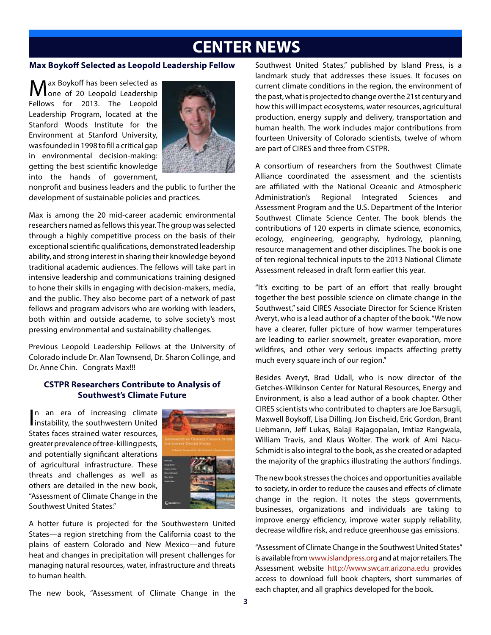# **CENTER NEWS**

#### **Max Boykoff Selected as Leopold Leadership Fellow**

ax Boykoff has been selected as one of 20 Leopold Leadership Fellows for 2013. The Leopold Leadership Program, located at the Stanford Woods Institute for the Environment at Stanford University, was founded in 1998 to fill a critical gap in environmental decision-making: getting the best scientific knowledge into the hands of government,



nonprofit and business leaders and the public to further the development of sustainable policies and practices.

Max is among the 20 mid-career academic environmental researchers named as fellows this year. The group was selected through a highly competitive process on the basis of their exceptional scientific qualifications, demonstrated leadership ability, and strong interest in sharing their knowledge beyond traditional academic audiences. The fellows will take part in intensive leadership and communications training designed to hone their skills in engaging with decision-makers, media, and the public. They also become part of a network of past fellows and program advisors who are working with leaders, both within and outside academe, to solve society's most pressing environmental and sustainability challenges.

Previous Leopold Leadership Fellows at the University of Colorado include Dr. Alan Townsend, Dr. Sharon Collinge, and Dr. Anne Chin. Congrats Max!!!

### **CSTPR Researchers Contribute to Analysis of Southwest's Climate Future**

In an era of increasing climate<br>instability, the southwestern United n an era of increasing climate States faces strained water resources, greater prevalence of tree-killing pests, and potentially significant alterations of agricultural infrastructure. These threats and challenges as well as others are detailed in the new book, "Assessment of Climate Change in the Southwest United States."



A hotter future is projected for the Southwestern United States—a region stretching from the California coast to the plains of eastern Colorado and New Mexico—and future heat and changes in precipitation will present challenges for managing natural resources, water, infrastructure and threats to human health.

The new book, "Assessment of Climate Change in the

Southwest United States," published by Island Press, is a landmark study that addresses these issues. It focuses on current climate conditions in the region, the environment of the past, what is projected to change over the 21st century and how this will impact ecosystems, water resources, agricultural production, energy supply and delivery, transportation and human health. The work includes major contributions from fourteen University of Colorado scientists, twelve of whom are part of CIRES and three from CSTPR.

A consortium of researchers from the Southwest Climate Alliance coordinated the assessment and the scientists are affiliated with the National Oceanic and Atmospheric Administration's Regional Integrated Sciences and Assessment Program and the U.S. Department of the Interior Southwest Climate Science Center. The book blends the contributions of 120 experts in climate science, economics, ecology, engineering, geography, hydrology, planning, resource management and other disciplines. The book is one of ten regional technical inputs to the 2013 National Climate Assessment released in draft form earlier this year.

"It's exciting to be part of an effort that really brought together the best possible science on climate change in the Southwest," said CIRES Associate Director for Science Kristen Averyt, who is a lead author of a chapter of the book. "We now have a clearer, fuller picture of how warmer temperatures are leading to earlier snowmelt, greater evaporation, more wildfires, and other very serious impacts affecting pretty much every square inch of our region."

Besides Averyt, Brad Udall, who is now director of the Getches-Wilkinson Center for Natural Resources, Energy and Environment, is also a lead author of a book chapter. Other CIRES scientists who contributed to chapters are Joe Barsugli, Maxwell Boykoff, Lisa Dilling, Jon Eischeid, Eric Gordon, Brant Liebmann, Jeff Lukas, Balaji Rajagopalan, Imtiaz Rangwala, William Travis, and Klaus Wolter. The work of Ami Nacu-Schmidt is also integral to the book, as she created or adapted the majority of the graphics illustrating the authors' findings.

The new book stresses the choices and opportunities available to society, in order to reduce the causes and effects of climate change in the region. It notes the steps governments, businesses, organizations and individuals are taking to improve energy efficiency, improve water supply reliability, decrease wildfire risk, and reduce greenhouse gas emissions.

"Assessment of Climate Change in the Southwest United States" is available from www.islandpress.org and at major retailers. The Assessment website http://www.swcarr.arizona.edu provides access to download full book chapters, short summaries of each chapter, and all graphics developed for the book.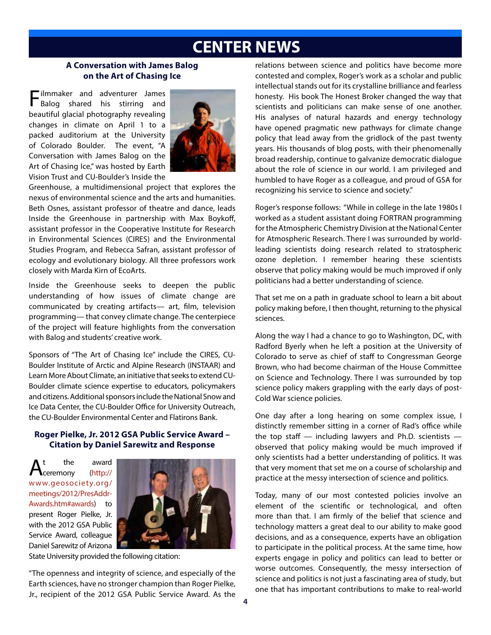# **CENTER NEWS**

#### **A Conversation with James Balog on the Art of Chasing Ice**

Filmmaker and adventurer James Balog shared his stirring and beautiful glacial photography revealing changes in climate on April 1 to a packed auditorium at the University of Colorado Boulder. The event, "A Conversation with James Balog on the Art of Chasing Ice," was hosted by Earth Vision Trust and CU-Boulder's Inside the



Greenhouse, a multidimensional project that explores the nexus of environmental science and the arts and humanities. Beth Osnes, assistant professor of theatre and dance, leads Inside the Greenhouse in partnership with Max Boykoff, assistant professor in the Cooperative Institute for Research in Environmental Sciences (CIRES) and the Environmental Studies Program, and Rebecca Safran, assistant professor of ecology and evolutionary biology. All three professors work closely with Marda Kirn of EcoArts.

Inside the Greenhouse seeks to deepen the public understanding of how issues of climate change are communicated by creating artifacts— art, film, television programming— that convey climate change. The centerpiece of the project will feature highlights from the conversation with Balog and students' creative work.

Sponsors of "The Art of Chasing Ice" include the CIRES, CU-Boulder Institute of Arctic and Alpine Research (INSTAAR) and Learn More About Climate, an initiative that seeks to extend CU-Boulder climate science expertise to educators, policymakers and citizens. Additional sponsors include the National Snow and Ice Data Center, the CU-Boulder Office for University Outreach, the CU-Boulder Environmental Center and Flatirons Bank.

## **Roger Pielke, Jr. 2012 GSA Public Service Award – Citation by Daniel Sarewitz and Response**

 $A_{\text{ceremony}}^{\text{t}}$  the award www.geosociety.org/ meetings/2012/PresAddr-Awards.htm#awards) to present Roger Pielke, Jr. with the 2012 GSA Public Service Award, colleague Daniel Sarewitz of Arizona



State University provided the following citation:

"The openness and integrity of science, and especially of the Earth sciences, have no stronger champion than Roger Pielke, Jr., recipient of the 2012 GSA Public Service Award. As the relations between science and politics have become more contested and complex, Roger's work as a scholar and public intellectual stands out for its crystalline brilliance and fearless honesty. His book The Honest Broker changed the way that scientists and politicians can make sense of one another. His analyses of natural hazards and energy technology have opened pragmatic new pathways for climate change policy that lead away from the gridlock of the past twenty years. His thousands of blog posts, with their phenomenally broad readership, continue to galvanize democratic dialogue about the role of science in our world. I am privileged and humbled to have Roger as a colleague, and proud of GSA for recognizing his service to science and society."

Roger's response follows: "While in college in the late 1980s I worked as a student assistant doing FORTRAN programming for the Atmospheric Chemistry Division at the National Center for Atmospheric Research. There I was surrounded by worldleading scientists doing research related to stratospheric ozone depletion. I remember hearing these scientists observe that policy making would be much improved if only politicians had a better understanding of science.

That set me on a path in graduate school to learn a bit about policy making before, I then thought, returning to the physical sciences.

Along the way I had a chance to go to Washington, DC, with Radford Byerly when he left a position at the University of Colorado to serve as chief of staff to Congressman George Brown, who had become chairman of the House Committee on Science and Technology. There I was surrounded by top science policy makers grappling with the early days of post-Cold War science policies.

One day after a long hearing on some complex issue, I distinctly remember sitting in a corner of Rad's office while the top staff  $-$  including lawyers and Ph.D. scientists  $$ observed that policy making would be much improved if only scientists had a better understanding of politics. It was that very moment that set me on a course of scholarship and practice at the messy intersection of science and politics.

Today, many of our most contested policies involve an element of the scientific or technological, and often more than that. I am firmly of the belief that science and technology matters a great deal to our ability to make good decisions, and as a consequence, experts have an obligation to participate in the political process. At the same time, how experts engage in policy and politics can lead to better or worse outcomes. Consequently, the messy intersection of science and politics is not just a fascinating area of study, but one that has important contributions to make to real-world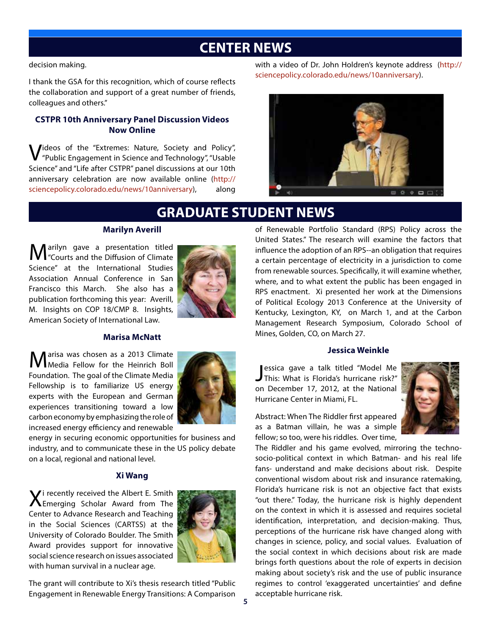## **CENTER NEWS**

decision making.

I thank the GSA for this recognition, which of course reflects the collaboration and support of a great number of friends, colleagues and others."

## **CSTPR 10th Anniversary Panel Discussion Videos Now Online**

Videos of the "Extremes: Nature, Society and Policy", "Public Engagement in Science and Technology", "Usable Science" and "Life after CSTPR" panel discussions at our 10th anniversary celebration are now available online (http:// sciencepolicy.colorado.edu/news/10anniversary), along

with a video of Dr. John Holdren's keynote address (http:// sciencepolicy.colorado.edu/news/10anniversary).



# **GRADUATE STUDENT NEWS**

### **Marilyn Averill**

**M**arilyn gave a presentation titled<br>
"Courts and the Diffusion of Climate Science" at the International Studies Association Annual Conference in San Francisco this March. She also has a publication forthcoming this year: Averill, M. Insights on COP 18/CMP 8. Insights, American Society of International Law.



#### **Marisa McNatt**

Marisa was chosen as a 2013 Climate<br>Media Fellow for the Heinrich Boll Foundation. The goal of the Climate Media Fellowship is to familiarize US energy experts with the European and German experiences transitioning toward a low carbon economy by emphasizing the role of increased energy efficiency and renewable



energy in securing economic opportunities for business and industry, and to communicate these in the US policy debate on a local, regional and national level.

## **Xi Wang**

Xi recently received the Albert E. Smith Emerging Scholar Award from The Center to Advance Research and Teaching in the Social Sciences (CARTSS) at the University of Colorado Boulder. The Smith Award provides support for innovative social science research on issues associated with human survival in a nuclear age.



The grant will contribute to Xi's thesis research titled "Public Engagement in Renewable Energy Transitions: A Comparison

of Renewable Portfolio Standard (RPS) Policy across the United States." The research will examine the factors that influence the adoption of an RPS--an obligation that requires a certain percentage of electricity in a jurisdiction to come from renewable sources. Specifically, it will examine whether, where, and to what extent the public has been engaged in RPS enactment. Xi presented her work at the Dimensions of Political Ecology 2013 Conference at the University of Kentucky, Lexington, KY, on March 1, and at the Carbon Management Research Symposium, Colorado School of Mines, Golden, CO, on March 27.

#### **Jessica Weinkle**

**J** essica gave a talk titled "Model Me<br>This: What is Florida's hurricane risk?" essica gave a talk titled "Model Me on December 17, 2012, at the National Hurricane Center in Miami, FL.



Abstract: When The Riddler first appeared as a Batman villain, he was a simple fellow; so too, were his riddles. Over time,

The Riddler and his game evolved, mirroring the technosocio-political context in which Batman- and his real life fans- understand and make decisions about risk. Despite conventional wisdom about risk and insurance ratemaking, Florida's hurricane risk is not an objective fact that exists "out there." Today, the hurricane risk is highly dependent on the context in which it is assessed and requires societal identification, interpretation, and decision-making. Thus, perceptions of the hurricane risk have changed along with changes in science, policy, and social values. Evaluation of the social context in which decisions about risk are made brings forth questions about the role of experts in decision making about society's risk and the use of public insurance regimes to control 'exaggerated uncertainties' and define acceptable hurricane risk.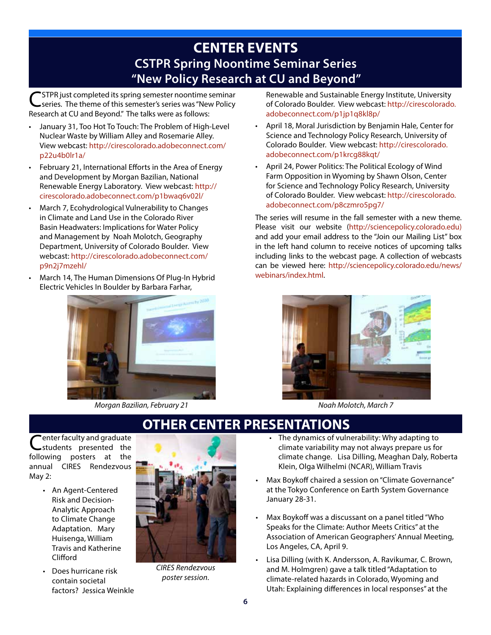# **CENTER EVENTS CSTPR Spring Noontime Seminar Series "New Policy Research at CU and Beyond"**

CSTPR just completed its spring semester noontime seminar<br>
Series. The theme of this semester's series was "New Policy Research at CU and Beyond." The talks were as follows:

- January 31, Too Hot To Touch: The Problem of High-Level Nuclear Waste by William Alley and Rosemarie Alley. View webcast: http://cirescolorado.adobeconnect.com/ p22u4b0lr1a/
- February 21, International Efforts in the Area of Energy and Development by Morgan Bazilian, National Renewable Energy Laboratory. View webcast: http:// cirescolorado.adobeconnect.com/p1bwaq6v02l/
- March 7, Ecohydrological Vulnerability to Changes in Climate and Land Use in the Colorado River Basin Headwaters: Implications for Water Policy and Management by Noah Molotch, Geography Department, University of Colorado Boulder. View webcast: http://cirescolorado.adobeconnect.com/ p9n2j7mzehl/
- March 14, The Human Dimensions Of Plug-In Hybrid Electric Vehicles In Boulder by Barbara Farhar,



*Morgan Bazilian, February 21 Noah Molotch, March 7*

Renewable and Sustainable Energy Institute, University of Colorado Boulder. View webcast: http://cirescolorado. adobeconnect.com/p1jp1q8kl8p/

- April 18, Moral Jurisdiction by Benjamin Hale, Center for Science and Technology Policy Research, University of Colorado Boulder. View webcast: http://cirescolorado. adobeconnect.com/p1krcg88kqt/
- April 24, Power Politics: The Political Ecology of Wind Farm Opposition in Wyoming by Shawn Olson, Center for Science and Technology Policy Research, University of Colorado Boulder. View webcast: http://cirescolorado. adobeconnect.com/p8czmro5pg7/

The series will resume in the fall semester with a new theme. Please visit our website (http://sciencepolicy.colorado.edu) and add your email address to the "Join our Mailing List" box in the left hand column to receive notices of upcoming talks including links to the webcast page. A collection of webcasts can be viewed here: http://sciencepolicy.colorado.edu/news/ webinars/index.html.



# **OTHER CENTER PRESENTATIONS**

enter faculty and graduate students presented the following posters at the annual CIRES Rendezvous May 2:

- An Agent-Centered Risk and Decision-Analytic Approach to Climate Change Adaptation. Mary Huisenga, William Travis and Katherine Clifford
- Does hurricane risk contain societal factors? Jessica Weinkle



*CIRES Rendezvous poster session.*

- The dynamics of vulnerability: Why adapting to climate variability may not always prepare us for climate change. Lisa Dilling, Meaghan Daly, Roberta Klein, Olga Wilhelmi (NCAR), William Travis
- Max Boykoff chaired a session on "Climate Governance" at the Tokyo Conference on Earth System Governance January 28-31.
- Max Boykoff was a discussant on a panel titled "Who Speaks for the Climate: Author Meets Critics" at the Association of American Geographers' Annual Meeting, Los Angeles, CA, April 9.
- Lisa Dilling (with K. Andersson, A. Ravikumar, C. Brown, and M. Holmgren) gave a talk titled "Adaptation to climate-related hazards in Colorado, Wyoming and Utah: Explaining differences in local responses" at the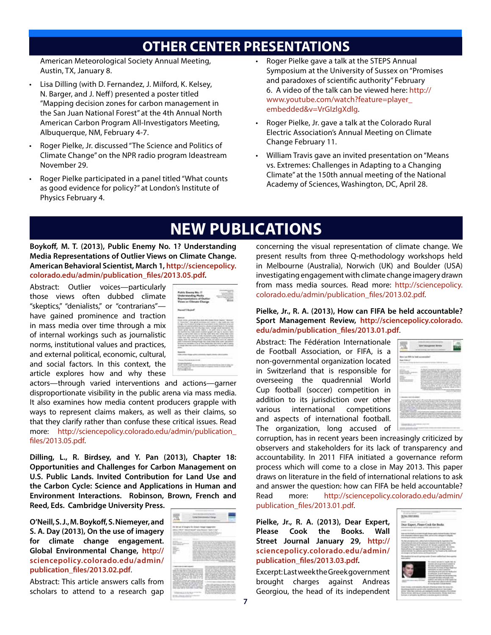# **OTHER CENTER PRESENTATIONS**

American Meteorological Society Annual Meeting, Austin, TX, January 8.

- Lisa Dilling (with D. Fernandez, J. Milford, K. Kelsey, N. Barger, and J. Neff ) presented a poster titled "Mapping decision zones for carbon management in the San Juan National Forest" at the 4th Annual North American Carbon Program All-Investigators Meeting, Albuquerque, NM, February 4-7.
- Roger Pielke, Jr. discussed "The Science and Politics of Climate Change" on the NPR radio program Ideastream November 29.
- Roger Pielke participated in a panel titled "What counts as good evidence for policy?" at London's Institute of Physics February 4.
- Roger Pielke gave a talk at the STEPS Annual Symposium at the University of Sussex on "Promises and paradoxes of scientific authority" February 6. A video of the talk can be viewed here: http:// www.youtube.com/watch?feature=player\_ embedded&v=VrGIzlgXdlg.
- Roger Pielke, Jr. gave a talk at the Colorado Rural Electric Association's Annual Meeting on Climate Change February 11.
- William Travis gave an invited presentation on "Means vs. Extremes: Challenges in Adapting to a Changing Climate" at the 150th annual meeting of the National Academy of Sciences, Washington, DC, April 28.

# **NEW PUBLICATIONS**

**Boykoff, M. T. (2013), Public Enemy No. 1? Understanding Media Representations of Outlier Views on Climate Change. American Behavioral Scientist, March 1, http://sciencepolicy. colorado.edu/admin/publication\_files/2013.05.pdf.**

Abstract: Outlier voices—particularly those views often dubbed climate "skeptics," "denialists," or "contrarians" have gained prominence and traction in mass media over time through a mix of internal workings such as journalistic norms, institutional values and practices, and external political, economic, cultural, and social factors. In this context, the article explores how and why these



actors—through varied interventions and actions—garner disproportionate visibility in the public arena via mass media. It also examines how media content producers grapple with ways to represent claims makers, as well as their claims, so that they clarify rather than confuse these critical issues. Read more: http://sciencepolicy.colorado.edu/admin/publication\_ files/2013.05.pdf.

**Dilling, L., R. Birdsey, and Y. Pan (2013), Chapter 18: Opportunities and Challenges for Carbon Management on U.S. Public Lands. Invited Contribution for Land Use and the Carbon Cycle: Science and Applications in Human and Environment Interactions. Robinson, Brown, French and Reed, Eds. Cambridge University Press.**

**O'Neill, S. J., M. Boykoff, S. Niemeyer, and S. A. Day (2013), On the use of imagery for climate change engagement. Global Environmental Change, http:// sciencepolicy.colorado.edu/admin/ publication\_files/2013.02.pdf**.

Abstract: This article answers calls from scholars to attend to a research gap

|                                                                                                                                                                                                                                                                                                                                                                                                             | _____________<br>the property of the property of                                                                                                                                                                                                                                                                                                                                                                                                                           | -<br>_______                                                                                                                                                                                                                                                                                                                                                                                                                                                                                                                                                                                                                                                                                                                                                                                                                                                                                                                                                                                                                                                                                                                                                                                                                                                                                                |                                                                                                                                                                                                                                                                                                                                                                                                                                                                                                                                    |  |
|-------------------------------------------------------------------------------------------------------------------------------------------------------------------------------------------------------------------------------------------------------------------------------------------------------------------------------------------------------------------------------------------------------------|----------------------------------------------------------------------------------------------------------------------------------------------------------------------------------------------------------------------------------------------------------------------------------------------------------------------------------------------------------------------------------------------------------------------------------------------------------------------------|-------------------------------------------------------------------------------------------------------------------------------------------------------------------------------------------------------------------------------------------------------------------------------------------------------------------------------------------------------------------------------------------------------------------------------------------------------------------------------------------------------------------------------------------------------------------------------------------------------------------------------------------------------------------------------------------------------------------------------------------------------------------------------------------------------------------------------------------------------------------------------------------------------------------------------------------------------------------------------------------------------------------------------------------------------------------------------------------------------------------------------------------------------------------------------------------------------------------------------------------------------------------------------------------------------------|------------------------------------------------------------------------------------------------------------------------------------------------------------------------------------------------------------------------------------------------------------------------------------------------------------------------------------------------------------------------------------------------------------------------------------------------------------------------------------------------------------------------------------|--|
|                                                                                                                                                                                                                                                                                                                                                                                                             |                                                                                                                                                                                                                                                                                                                                                                                                                                                                            |                                                                                                                                                                                                                                                                                                                                                                                                                                                                                                                                                                                                                                                                                                                                                                                                                                                                                                                                                                                                                                                                                                                                                                                                                                                                                                             |                                                                                                                                                                                                                                                                                                                                                                                                                                                                                                                                    |  |
| <b>Standard Commercial Commercial</b><br>_____<br>٠<br>٠<br>$\sim$<br>٠                                                                                                                                                                                                                                                                                                                                     | the product of the control and sufficient                                                                                                                                                                                                                                                                                                                                                                                                                                  | The first term of a policy from the first control and control control of<br>again follows. A structure of the party against the date of the com-<br>Detailed and the control of the control of the control of the control of<br>they thin a bubble of the chief is developed and a film officer about the design<br>A 19 YO A FEED AND COMPANY AND CONTRACTOR CONTRACTOR<br>A.I. At the service in the first background, it isn't the<br>come as form an action and a series of the company of the company of the<br>to buy committee about the modern strengthy. In these to means of this is dispos-<br>party think strains the second of their air materials and state.<br>the development of the company of the state of the state of the state of the state of the company of the state of the state of the company of the company of the company of the company of the company of the company of the c<br>children as the private control control and control private and control of<br>A single lack of product of regainst developing the collection of a<br>auto countries approaches of the part autour children contact our property<br>attractively characterized a time back of the first that the first state.<br>a discussional comparation of the comparation of the company of the company | Service Committee County                                                                                                                                                                                                                                                                                                                                                                                                                                                                                                           |  |
| and the same characteristic development of<br>Collection and the collection of the collection<br>The directly hanging in the first paint of a photon in<br>at article, consent all detter 1.25 arrests<br>sales of the former cash address come and definition to their<br>painting to the adduction of charact states will be the<br>brokering changes and also hand-the strings<br><b>PARTIES AND ANY</b> | $\frac{1}{2} \left( \frac{1}{2} \right) \left( \frac{1}{2} \right) \left( \frac{1}{2} \right) \left( \frac{1}{2} \right) \left( \frac{1}{2} \right) \left( \frac{1}{2} \right) \left( \frac{1}{2} \right) \left( \frac{1}{2} \right) \left( \frac{1}{2} \right) \left( \frac{1}{2} \right) \left( \frac{1}{2} \right) \left( \frac{1}{2} \right) \left( \frac{1}{2} \right) \left( \frac{1}{2} \right) \left( \frac{1}{2} \right) \left( \frac{1}{2} \right) \left( \frac$ | -                                                                                                                                                                                                                                                                                                                                                                                                                                                                                                                                                                                                                                                                                                                                                                                                                                                                                                                                                                                                                                                                                                                                                                                                                                                                                                           | The count dealer or terms and their dealer ride.<br>department of the state of the company of the company<br>and control effective a chief and the state of the chief.<br>strings are detected to the part that the<br>profitable and capacity of the con-<br>provided in the sets the sets of the set of their<br>ment between the first first factor and<br>three-look address and chance between with the look and<br>through the Monte of the company of the party and the country<br>To half her public asked the publishing- |  |
| The start of the appropriate control of<br>holds and an annual state of the control and an annual<br>party officer is real detector for state today of the count<br>the death securities their start is driven further<br>company's first 100 may not confidently to dealer<br>the aid is compared and the complete that becomes a<br>man may call its deal disk. I link<br>in a<br><b>SERVICE DE MONTE</b> |                                                                                                                                                                                                                                                                                                                                                                                                                                                                            |                                                                                                                                                                                                                                                                                                                                                                                                                                                                                                                                                                                                                                                                                                                                                                                                                                                                                                                                                                                                                                                                                                                                                                                                                                                                                                             | Wells which is minimized transversion for added<br>an and COST of Want to Antonymous<br>CALL AND AUGUST 10 00 000 100 100 000<br><b>Research College Constitution College College College College</b><br>The Technology and the Miller of the Technology and<br>played at \$2.5 playing the better property<br>to The students and control at the student<br>The product of the control of the product of the con-                                                                                                                 |  |
|                                                                                                                                                                                                                                                                                                                                                                                                             |                                                                                                                                                                                                                                                                                                                                                                                                                                                                            |                                                                                                                                                                                                                                                                                                                                                                                                                                                                                                                                                                                                                                                                                                                                                                                                                                                                                                                                                                                                                                                                                                                                                                                                                                                                                                             | $\sim$ 4.1 $\sigma$                                                                                                                                                                                                                                                                                                                                                                                                                                                                                                                |  |

concerning the visual representation of climate change. We present results from three Q-methodology workshops held in Melbourne (Australia), Norwich (UK) and Boulder (USA) investigating engagement with climate change imagery drawn from mass media sources. Read more: http://sciencepolicy. colorado.edu/admin/publication\_files/2013.02.pdf.

#### **Pielke, Jr., R. A. (2013), How can FIFA be held accountable? Sport Management Review, http://sciencepolicy.colorado. edu/admin/publication\_files/2013.01.pdf**.

Abstract: The Fédération Internationale de Football Association, or FIFA, is a non-governmental organization located in Switzerland that is responsible for overseeing the quadrennial World Cup football (soccer) competition in addition to its jurisdiction over other various international competitions and aspects of international football. The organization, long accused of



corruption, has in recent years been increasingly criticized by observers and stakeholders for its lack of transparency and accountability. In 2011 FIFA initiated a governance reform process which will come to a close in May 2013. This paper draws on literature in the field of international relations to ask and answer the question: how can FIFA be held accountable? Read more: http://sciencepolicy.colorado.edu/admin/ publication\_files/2013.01.pdf.

**Pielke, Jr., R. A. (2013), Dear Expert, Please Cook the Books. Wall Street Journal January 29, http:// sciencepolicy.colorado.edu/admin/ publication\_files/2013.03.pdf.**

Excerpt: Last week the Greek government brought charges against Andreas Georgiou, the head of its independent

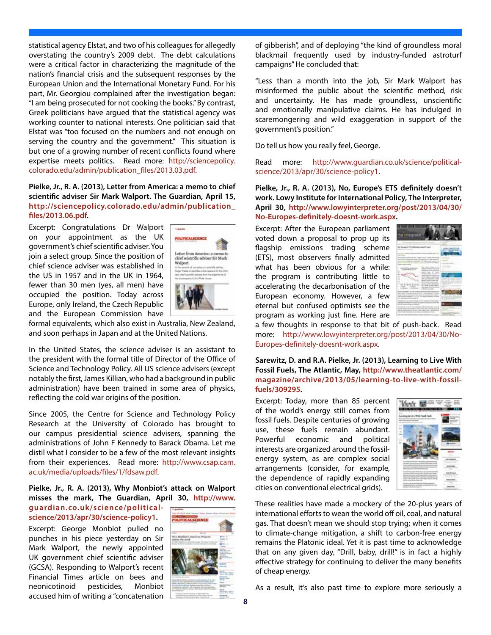statistical agency Elstat, and two of his colleagues for allegedly overstating the country's 2009 debt. The debt calculations were a critical factor in characterizing the magnitude of the nation's financial crisis and the subsequent responses by the European Union and the International Monetary Fund. For his part, Mr. Georgiou complained after the investigation began: "I am being prosecuted for not cooking the books." By contrast, Greek politicians have argued that the statistical agency was working counter to national interests. One politician said that Elstat was "too focused on the numbers and not enough on serving the country and the government." This situation is but one of a growing number of recent conflicts found where expertise meets politics. Read more: http://sciencepolicy. colorado.edu/admin/publication\_files/2013.03.pdf.

#### **Pielke, Jr., R. A. (2013), Letter from America: a memo to chief scientific adviser Sir Mark Walport. The Guardian, April 15, http://sciencepolicy.colorado.edu/admin/publication\_ files/2013.06.pdf.**

Excerpt: Congratulations Dr Walport on your appointment as the UK government's chief scientific adviser. You join a select group. Since the position of chief science adviser was established in the US in 1957 and in the UK in 1964, fewer than 30 men (yes, all men) have occupied the position. Today across Europe, only Ireland, the Czech Republic and the European Commission have



formal equivalents, which also exist in Australia, New Zealand, and soon perhaps in Japan and at the United Nations.

In the United States, the science adviser is an assistant to the president with the formal title of Director of the Office of Science and Technology Policy. All US science advisers (except notably the first, James Killian, who had a background in public administration) have been trained in some area of physics, reflecting the cold war origins of the position.

Since 2005, the Centre for Science and Technology Policy Research at the University of Colorado has brought to our campus presidential science advisers, spanning the administrations of John F Kennedy to Barack Obama. Let me distil what I consider to be a few of the most relevant insights from their experiences. Read more: http://www.csap.cam. ac.uk/media/uploads/files/1/fdsaw.pdf.

#### **Pielke, Jr., R. A. (2013), Why Monbiot's attack on Walport misses the mark, The Guardian, April 30, http://www.**

**guardian.co.uk/science/politicalscience/2013/apr/30/science-policy1.**

Excerpt: George Monbiot pulled no punches in his piece yesterday on Sir Mark Walport, the newly appointed UK government chief scientific adviser (GCSA). Responding to Walport's recent Financial Times article on bees and neonicotinoid pesticides, Monbiot accused him of writing a "concatenation **8**



of gibberish", and of deploying "the kind of groundless moral blackmail frequently used by industry-funded astroturf campaigns" He concluded that:

"Less than a month into the job, Sir Mark Walport has misinformed the public about the scientific method, risk and uncertainty. He has made groundless, unscientific and emotionally manipulative claims. He has indulged in scaremongering and wild exaggeration in support of the government's position."

Do tell us how you really feel, George.

Read more: http://www.guardian.co.uk/science/politicalscience/2013/apr/30/science-policy1.

**Pielke, Jr., R. A. (2013), No, Europe's ETS definitely doesn't work. Lowy Institute for International Policy, The Interpreter, April 30, http://www.lowyinterpreter.org/post/2013/04/30/ No-Europes-definitely-doesnt-work.aspx.**

Excerpt: After the European parliament voted down a proposal to prop up its flagship emissions trading scheme (ETS), most observers finally admitted what has been obvious for a while: the program is contributing little to accelerating the decarbonisation of the European economy. However, a few eternal but confused optimists see the program as working just fine. Here are



a few thoughts in response to that bit of push-back. Read more: http://www.lowyinterpreter.org/post/2013/04/30/No-Europes-definitely-doesnt-work.aspx.

**Sarewitz, D. and R.A. Pielke, Jr. (2013), Learning to Live With Fossil Fuels, The Atlantic, May, http://www.theatlantic.com/ magazine/archive/2013/05/learning-to-live-with-fossilfuels/309295.**

Excerpt: Today, more than 85 percent of the world's energy still comes from fossil fuels. Despite centuries of growing use, these fuels remain abundant. Powerful economic and political interests are organized around the fossilenergy system, as are complex social arrangements (consider, for example, the dependence of rapidly expanding cities on conventional electrical grids).



These realities have made a mockery of the 20-plus years of international efforts to wean the world off oil, coal, and natural gas. That doesn't mean we should stop trying; when it comes to climate-change mitigation, a shift to carbon-free energy remains the Platonic ideal. Yet it is past time to acknowledge that on any given day, "Drill, baby, drill!" is in fact a highly effective strategy for continuing to deliver the many benefits of cheap energy.

As a result, it's also past time to explore more seriously a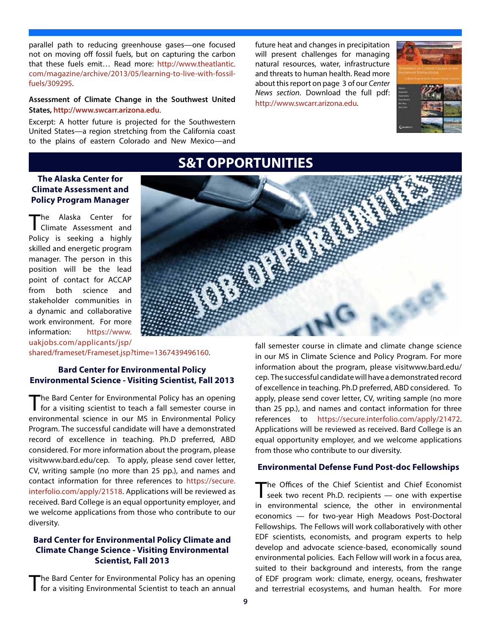parallel path to reducing greenhouse gases—one focused not on moving off fossil fuels, but on capturing the carbon that these fuels emit… Read more: http://www.theatlantic. com/magazine/archive/2013/05/learning-to-live-with-fossilfuels/309295.

#### **Assessment of Climate Change in the Southwest United States, http://www.swcarr.arizona.edu**.

Excerpt: A hotter future is projected for the Southwestern United States—a region stretching from the California coast to the plains of eastern Colorado and New Mexico—and future heat and changes in precipitation will present challenges for managing natural resources, water, infrastructure and threats to human health. Read more about this report on page 3 of our *Center News section*. Download the full pdf: http://www.swcarr.arizona.edu.



# **S&T OPPORTUNITIES**

## **The Alaska Center for Climate Assessment and Policy Program Manager**

The Alaska Center for Climate Assessment and Policy is seeking a highly skilled and energetic program manager. The person in this position will be the lead point of contact for ACCAP from both science and stakeholder communities in a dynamic and collaborative work environment. For more information: https://www. uakjobs.com/applicants/jsp/



shared/frameset/Frameset.jsp?time=1367439496160.

### **Bard Center for Environmental Policy Environmental Science - Visiting Scientist, Fall 2013**

The Bard Center for Environmental Policy has an opening<br>for a visiting scientist to teach a fall semester course in environmental science in our MS in Environmental Policy Program. The successful candidate will have a demonstrated record of excellence in teaching. Ph.D preferred, ABD considered. For more information about the program, please visitwww.bard.edu/cep. To apply, please send cover letter, CV, writing sample (no more than 25 pp.), and names and contact information for three references to https://secure. interfolio.com/apply/21518. Applications will be reviewed as received. Bard College is an equal opportunity employer, and we welcome applications from those who contribute to our diversity.

#### **Bard Center for Environmental Policy Climate and Climate Change Science - Visiting Environmental Scientist, Fall 2013**

The Bard Center for Environmental Policy has an opening<br>for a visiting Environmental Scientist to teach an annual

fall semester course in climate and climate change science in our MS in Climate Science and Policy Program. For more information about the program, please visitwww.bard.edu/ cep. The successful candidate will have a demonstrated record of excellence in teaching. Ph.D preferred, ABD considered. To apply, please send cover letter, CV, writing sample (no more than 25 pp.), and names and contact information for three references to https://secure.interfolio.com/apply/21472. Applications will be reviewed as received. Bard College is an equal opportunity employer, and we welcome applications from those who contribute to our diversity.

### **Environmental Defense Fund Post-doc Fellowships**

The Offices of the Chief Scientist and Chief Economist seek two recent Ph.D. recipients — one with expertise in environmental science, the other in environmental economics — for two-year High Meadows Post-Doctoral Fellowships. The Fellows will work collaboratively with other EDF scientists, economists, and program experts to help develop and advocate science-based, economically sound environmental policies. Each Fellow will work in a focus area, suited to their background and interests, from the range of EDF program work: climate, energy, oceans, freshwater and terrestrial ecosystems, and human health. For more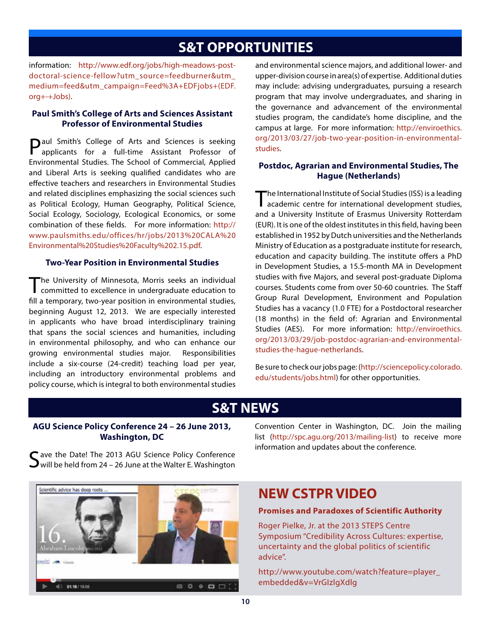# **S&T OPPORTUNITIES**

information: http://www.edf.org/jobs/high-meadows-postdoctoral-science-fellow?utm\_source=feedburner&utm\_ medium=feed&utm\_campaign=Feed%3A+EDFjobs+(EDF. org+-+Jobs).

#### **Paul Smith's College of Arts and Sciences Assistant Professor of Environmental Studies**

**D**aul Smith's College of Arts and Sciences is seeking applicants for a full-time Assistant Professor of Environmental Studies. The School of Commercial, Applied and Liberal Arts is seeking qualified candidates who are effective teachers and researchers in Environmental Studies and related disciplines emphasizing the social sciences such as Political Ecology, Human Geography, Political Science, Social Ecology, Sociology, Ecological Economics, or some combination of these fields. For more information: http:// www.paulsmiths.edu/offices/hr/jobs/2013%20CALA%20 Environmental%20Studies%20Faculty%202.15.pdf.

#### **Two-Year Position in Environmental Studies**

The University of Minnesota, Morris seeks an individual committed to excellence in undergraduate education to fill a temporary, two-year position in environmental studies, beginning August 12, 2013. We are especially interested in applicants who have broad interdisciplinary training that spans the social sciences and humanities, including in environmental philosophy, and who can enhance our growing environmental studies major. Responsibilities include a six-course (24-credit) teaching load per year, including an introductory environmental problems and policy course, which is integral to both environmental studies and environmental science majors, and additional lower- and upper-division course in area(s) of expertise. Additional duties may include: advising undergraduates, pursuing a research program that may involve undergraduates, and sharing in the governance and advancement of the environmental studies program, the candidate's home discipline, and the campus at large. For more information: http://enviroethics. org/2013/03/27/job-two-year-position-in-environmentalstudies.

### **Postdoc, Agrarian and Environmental Studies, The Hague (Netherlands)**

The International Institute of Social Studies (ISS) is a leading academic centre for international development studies, and a University Institute of Erasmus University Rotterdam (EUR). It is one of the oldest institutes in this field, having been established in 1952 by Dutch universities and the Netherlands Ministry of Education as a postgraduate institute for research, education and capacity building. The institute offers a PhD in Development Studies, a 15.5-month MA in Development studies with five Majors, and several post-graduate Diploma courses. Students come from over 50-60 countries. The Staff Group Rural Development, Environment and Population Studies has a vacancy (1.0 FTE) for a Postdoctoral researcher (18 months) in the field of: Agrarian and Environmental Studies (AES). For more information: http://enviroethics. org/2013/03/29/job-postdoc-agrarian-and-environmentalstudies-the-hague-netherlands.

Be sure to check our jobs page: (http://sciencepolicy.colorado. edu/students/jobs.html) for other opportunities.

## **S&T NEWS**

### **AGU Science Policy Conference 24 – 26 June 2013, Washington, DC**

T ave the Date! The 2013 AGU Science Policy Conference  $\rightarrow$  will be held from 24 – 26 June at the Walter E. Washington

Convention Center in Washington, DC. Join the mailing list (http://spc.agu.org/2013/mailing-list) to receive more information and updates about the conference.



## **NEW CSTPR VIDEO**

#### **Promises and Paradoxes of Scientific Authority**

Roger Pielke, Jr. at the 2013 STEPS Centre Symposium "Credibility Across Cultures: expertise, uncertainty and the global politics of scientific advice".

http://www.youtube.com/watch?feature=player\_ embedded&v=VrGIzlgXdlg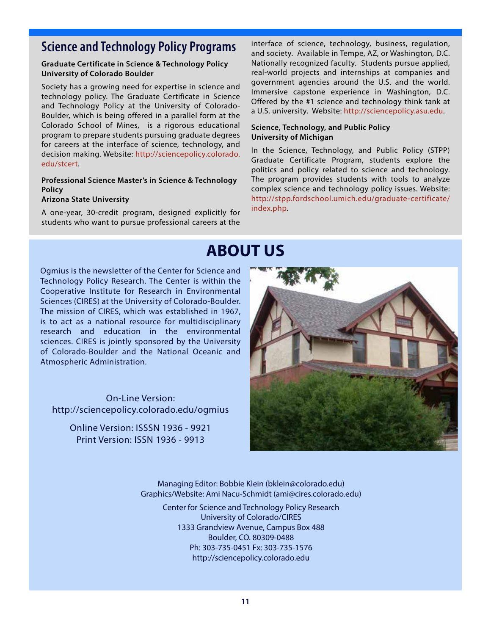# **Science and Technology Policy Programs** interface of science, technology, business, regulation,

#### **Graduate Certificate in Science & Technology Policy University of Colorado Boulder**

Society has a growing need for expertise in science and technology policy. The Graduate Certificate in Science and Technology Policy at the University of Colorado-Boulder, which is being offered in a parallel form at the Colorado School of Mines, is a rigorous educational program to prepare students pursuing graduate degrees for careers at the interface of science, technology, and decision making. Website: http://sciencepolicy.colorado. edu/stcert.

#### **Professional Science Master's in Science & Technology Policy**

#### **Arizona State University**

A one-year, 30-credit program, designed explicitly for students who want to pursue professional careers at the

and society. Available in Tempe, AZ, or Washington, D.C. Nationally recognized faculty. Students pursue applied, real-world projects and internships at companies and government agencies around the U.S. and the world. Immersive capstone experience in Washington, D.C. Offered by the #1 science and technology think tank at a U.S. university. Website: http://sciencepolicy.asu.edu.

#### **Science, Technology, and Public Policy University of Michigan**

In the Science, Technology, and Public Policy (STPP) Graduate Certificate Program, students explore the politics and policy related to science and technology. The program provides students with tools to analyze complex science and technology policy issues. Website: http://stpp.fordschool.umich.edu/graduate-certificate/ index.php.

# **ABOUT US**

Ogmius is the newsletter of the Center for Science and Technology Policy Research. The Center is within the Cooperative Institute for Research in Environmental Sciences (CIRES) at the University of Colorado-Boulder. The mission of CIRES, which was established in 1967, is to act as a national resource for multidisciplinary research and education in the environmental sciences. CIRES is jointly sponsored by the University of Colorado-Boulder and the National Oceanic and Atmospheric Administration.

On-Line Version: http://sciencepolicy.colorado.edu/ogmius

Online Version: ISSSN 1936 - 9921 Print Version: ISSN 1936 - 9913



Managing Editor: Bobbie Klein (bklein@colorado.edu) Graphics/Website: Ami Nacu-Schmidt (ami@cires.colorado.edu)

Center for Science and Technology Policy Research University of Colorado/CIRES 1333 Grandview Avenue, Campus Box 488 Boulder, CO. 80309-0488 Ph: 303-735-0451 Fx: 303-735-1576 http://sciencepolicy.colorado.edu